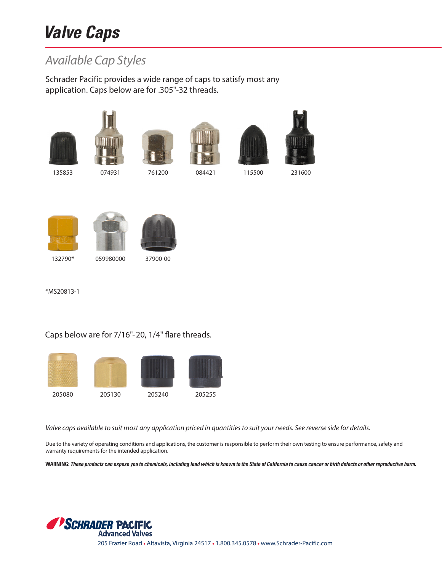## **Valve Caps**

## *Available Cap Styles*

Schrader Pacific provides a wide range of caps to satisfy most any application. Caps below are for .305"-32 threads.















132790\* 059980000 37900-00

\*MS20813-1

## Caps below are for 7/16"-20, 1/4" flare threads.



*Valve caps available to suit most any application priced in quantities to suit your needs. See reverse side for details.*

Due to the variety of operating conditions and applications, the customer is responsible to perform their own testing to ensure performance, safety and warranty requirements for the intended application.

**WARNING: These products can expose you to chemicals, including lead which is known to the State of California to cause cancer or birth defects or other reproductive harm.**